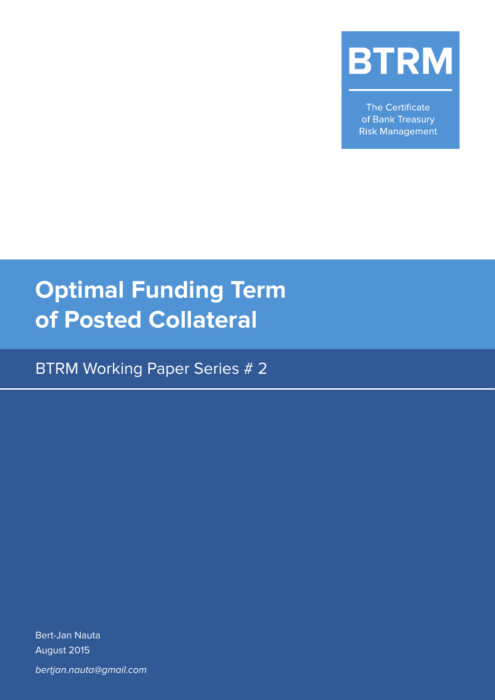

The Certificate of Bank Treasury **Risk Management** 

# **Optimal Funding Term of Posted Collateral**

BTRM Working Paper Series # 2

Bert-Jan Nauta August 2015 bertjan.nauta@gmail.com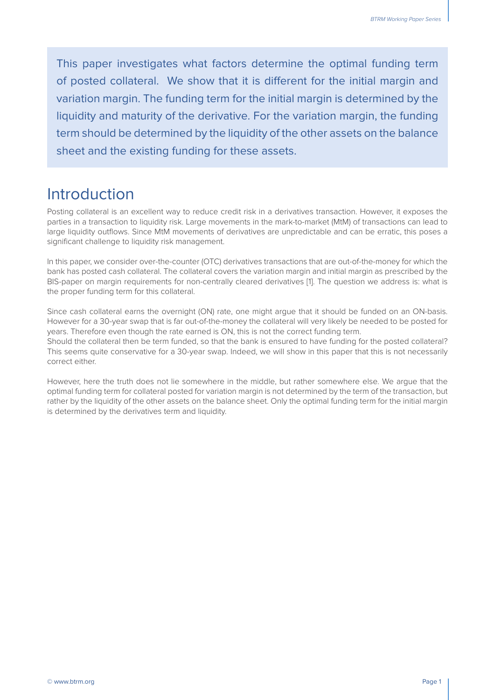This paper investigates what factors determine the optimal funding term of posted collateral. We show that it is different for the initial margin and variation margin. The funding term for the initial margin is determined by the liquidity and maturity of the derivative. For the variation margin, the funding term should be determined by the liquidity of the other assets on the balance sheet and the existing funding for these assets.

#### Introduction

Posting collateral is an excellent way to reduce credit risk in a derivatives transaction. However, it exposes the parties in a transaction to liquidity risk. Large movements in the mark-to-market (MtM) of transactions can lead to large liquidity outflows. Since MtM movements of derivatives are unpredictable and can be erratic, this poses a significant challenge to liquidity risk management.

In this paper, we consider over-the-counter (OTC) derivatives transactions that are out-of-the-money for which the bank has posted cash collateral. The collateral covers the variation margin and initial margin as prescribed by the BIS-paper on margin requirements for non-centrally cleared derivatives [1]. The question we address is: what is the proper funding term for this collateral.

Since cash collateral earns the overnight (ON) rate, one might argue that it should be funded on an ON-basis. However for a 30-year swap that is far out-of-the-money the collateral will very likely be needed to be posted for years. Therefore even though the rate earned is ON, this is not the correct funding term.

Should the collateral then be term funded, so that the bank is ensured to have funding for the posted collateral? This seems quite conservative for a 30-year swap. Indeed, we will show in this paper that this is not necessarily correct either.

However, here the truth does not lie somewhere in the middle, but rather somewhere else. We argue that the optimal funding term for collateral posted for variation margin is not determined by the term of the transaction, but rather by the liquidity of the other assets on the balance sheet. Only the optimal funding term for the initial margin is determined by the derivatives term and liquidity.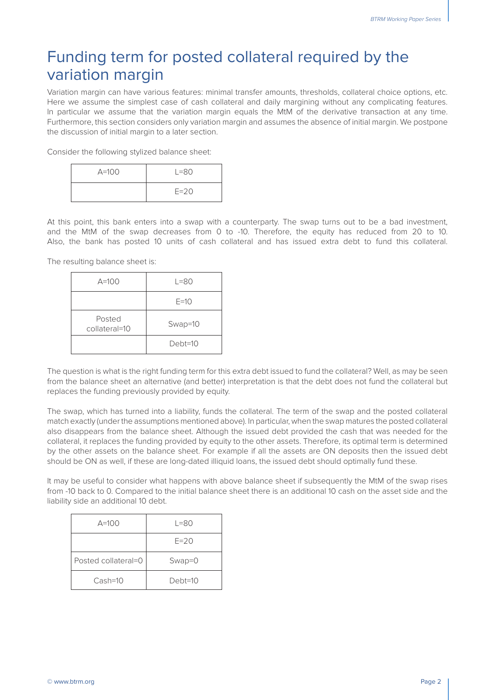### Funding term for posted collateral required by the variation margin

Variation margin can have various features: minimal transfer amounts, thresholds, collateral choice options, etc. Here we assume the simplest case of cash collateral and daily margining without any complicating features. In particular we assume that the variation margin equals the MtM of the derivative transaction at any time. Furthermore, this section considers only variation margin and assumes the absence of initial margin. We postpone the discussion of initial margin to a later section.

Consider the following stylized balance sheet:

| $A=100$ | $L = 80$ |  |
|---------|----------|--|
|         | $E=20$   |  |

At this point, this bank enters into a swap with a counterparty. The swap turns out to be a bad investment, and the MtM of the swap decreases from 0 to -10. Therefore, the equity has reduced from 20 to 10. Also, the bank has posted 10 units of cash collateral and has issued extra debt to fund this collateral.

The resulting balance sheet is:

| $A=100$                 | $L = 80$  |  |
|-------------------------|-----------|--|
|                         | $E=10$    |  |
| Posted<br>collateral=10 | Swap=10   |  |
|                         | $Debt=10$ |  |

The question is what is the right funding term for this extra debt issued to fund the collateral? Well, as may be seen from the balance sheet an alternative (and better) interpretation is that the debt does not fund the collateral but replaces the funding previously provided by equity.

The swap, which has turned into a liability, funds the collateral. The term of the swap and the posted collateral match exactly (under the assumptions mentioned above). In particular, when the swap matures the posted collateral also disappears from the balance sheet. Although the issued debt provided the cash that was needed for the collateral, it replaces the funding provided by equity to the other assets. Therefore, its optimal term is determined by the other assets on the balance sheet. For example if all the assets are ON deposits then the issued debt should be ON as well, if these are long-dated illiquid loans, the issued debt should optimally fund these.

It may be useful to consider what happens with above balance sheet if subsequently the MtM of the swap rises from -10 back to 0. Compared to the initial balance sheet there is an additional 10 cash on the asset side and the liability side an additional 10 debt.

| $A=100$             | $L = 80$   |  |
|---------------------|------------|--|
|                     | $F = 20$   |  |
| Posted collateral=0 | $Swap = 0$ |  |
| $Cash=10$           | $Debt=10$  |  |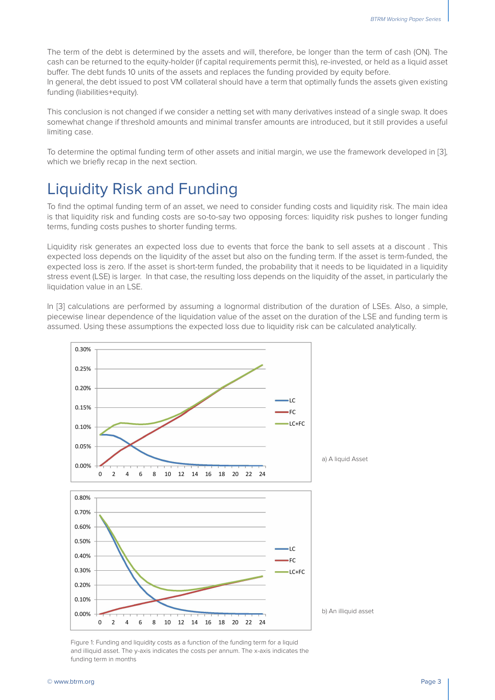The term of the debt is determined by the assets and will, therefore, be longer than the term of cash (ON). The cash can be returned to the equity-holder (if capital requirements permit this), re-invested, or held as a liquid asset buffer. The debt funds 10 units of the assets and replaces the funding provided by equity before. In general, the debt issued to post VM collateral should have a term that optimally funds the assets given existing

funding (liabilities+equity).

This conclusion is not changed if we consider a netting set with many derivatives instead of a single swap. It does somewhat change if threshold amounts and minimal transfer amounts are introduced, but it still provides a useful limiting case.

To determine the optimal funding term of other assets and initial margin, we use the framework developed in [3], which we briefly recap in the next section.

## Liquidity Risk and Funding

To find the optimal funding term of an asset, we need to consider funding costs and liquidity risk. The main idea is that liquidity risk and funding costs are so-to-say two opposing forces: liquidity risk pushes to longer funding terms, funding costs pushes to shorter funding terms.

Liquidity risk generates an expected loss due to events that force the bank to sell assets at a discount . This expected loss depends on the liquidity of the asset but also on the funding term. If the asset is term-funded, the expected loss is zero. If the asset is short-term funded, the probability that it needs to be liquidated in a liquidity stress event (LSE) is larger. In that case, the resulting loss depends on the liquidity of the asset, in particularly the liquidation value in an LSE.

In [3] calculations are performed by assuming a lognormal distribution of the duration of LSEs. Also, a simple, piecewise linear dependence of the liquidation value of the asset on the duration of the LSE and funding term is assumed. Using these assumptions the expected loss due to liquidity risk can be calculated analytically.



Figure 1: Funding and liquidity costs as a function of the funding term for a liquid and illiquid asset. The y-axis indicates the costs per annum. The x-axis indicates the funding term in months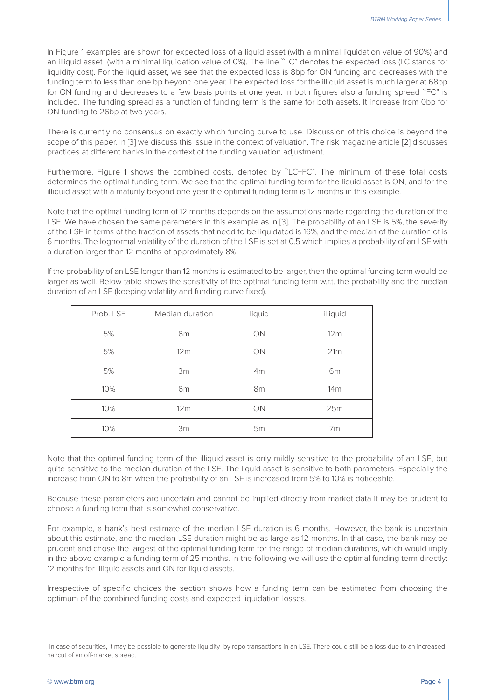In Figure 1 examples are shown for expected loss of a liquid asset (with a minimal liquidation value of 90%) and an illiquid asset (with a minimal liquidation value of 0%). The line ``LC" denotes the expected loss (LC stands for liquidity cost). For the liquid asset, we see that the expected loss is 8bp for ON funding and decreases with the funding term to less than one bp beyond one year. The expected loss for the illiquid asset is much larger at 68bp for ON funding and decreases to a few basis points at one year. In both figures also a funding spread `FC'' is included. The funding spread as a function of funding term is the same for both assets. It increase from 0bp for ON funding to 26bp at two years.

There is currently no consensus on exactly which funding curve to use. Discussion of this choice is beyond the scope of this paper. In [3] we discuss this issue in the context of valuation. The risk magazine article [2] discusses practices at different banks in the context of the funding valuation adjustment.

Furthermore, Figure 1 shows the combined costs, denoted by "LC+FC". The minimum of these total costs determines the optimal funding term. We see that the optimal funding term for the liquid asset is ON, and for the illiquid asset with a maturity beyond one year the optimal funding term is 12 months in this example.

Note that the optimal funding term of 12 months depends on the assumptions made regarding the duration of the LSE. We have chosen the same parameters in this example as in [3]. The probability of an LSE is 5%, the severity of the LSE in terms of the fraction of assets that need to be liquidated is 16%, and the median of the duration of is 6 months. The lognormal volatility of the duration of the LSE is set at 0.5 which implies a probability of an LSE with a duration larger than 12 months of approximately 8%.

If the probability of an LSE longer than 12 months is estimated to be larger, then the optimal funding term would be larger as well. Below table shows the sensitivity of the optimal funding term w.r.t. the probability and the median duration of an LSE (keeping volatility and funding curve fixed).

| Prob. LSE | Median duration | liquid    | illiquid        |
|-----------|-----------------|-----------|-----------------|
| 5%        | 6 <sub>m</sub>  | <b>ON</b> | 12m             |
| 5%        | 12m             | <b>ON</b> | 21m             |
| 5%        | 3m              | 4m        | 6 <sub>m</sub>  |
| 10%       | 6m              | 8m        | 14 <sub>m</sub> |
| 10%       | 12 <sub>m</sub> | ON        | 25m             |
| 10%       | 3m              | 5m        | 7 <sub>m</sub>  |

Note that the optimal funding term of the illiquid asset is only mildly sensitive to the probability of an LSE, but quite sensitive to the median duration of the LSE. The liquid asset is sensitive to both parameters. Especially the increase from ON to 8m when the probability of an LSE is increased from 5% to 10% is noticeable.

Because these parameters are uncertain and cannot be implied directly from market data it may be prudent to choose a funding term that is somewhat conservative.

For example, a bank's best estimate of the median LSE duration is 6 months. However, the bank is uncertain about this estimate, and the median LSE duration might be as large as 12 months. In that case, the bank may be prudent and chose the largest of the optimal funding term for the range of median durations, which would imply in the above example a funding term of 25 months. In the following we will use the optimal funding term directly: 12 months for illiquid assets and ON for liquid assets.

Irrespective of specific choices the section shows how a funding term can be estimated from choosing the optimum of the combined funding costs and expected liquidation losses.

<sup>&</sup>lt;sup>1</sup>In case of securities, it may be possible to generate liquidity by repo transactions in an LSE. There could still be a loss due to an increased haircut of an off-market spread.